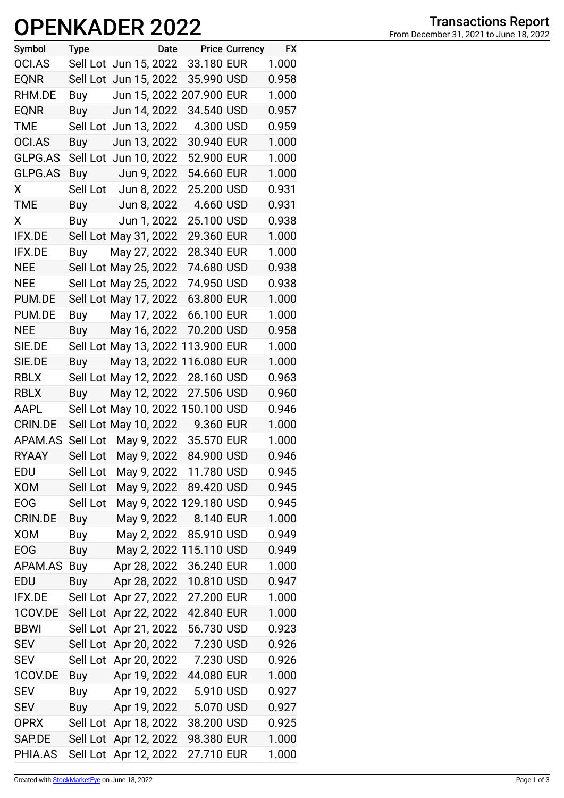## **OPENKADER 2022**

| Symbol         | <b>Type</b> |                       | Date |                                   | <b>Price Currency</b> | <b>FX</b> |
|----------------|-------------|-----------------------|------|-----------------------------------|-----------------------|-----------|
| OCI.AS         |             | Sell Lot Jun 15, 2022 |      | 33.180 EUR                        |                       | 1.000     |
| <b>EQNR</b>    |             | Sell Lot Jun 15, 2022 |      | 35.990 USD                        |                       | 0.958     |
| RHM.DE         | Buy         |                       |      | Jun 15, 2022 207.900 EUR          |                       | 1.000     |
| <b>EQNR</b>    | Buy         | Jun 14, 2022          |      | 34.540 USD                        |                       | 0.957     |
| TME            |             | Sell Lot Jun 13, 2022 |      | 4.300 USD                         |                       | 0.959     |
| OCI.AS         | Buy         | Jun 13, 2022          |      | 30.940 EUR                        |                       | 1.000     |
| GLPG.AS        |             | Sell Lot Jun 10, 2022 |      | 52.900 EUR                        |                       | 1.000     |
| GLPG.AS        | Buy         | Jun 9, 2022           |      | 54.660 EUR                        |                       | 1.000     |
| X              |             | Sell Lot Jun 8, 2022  |      | 25.200 USD                        |                       | 0.931     |
| TME            |             | Buy Jun 8, 2022       |      | 4.660 USD                         |                       | 0.931     |
| X              |             | Buy Jun 1, 2022       |      | 25.100 USD                        |                       | 0.938     |
| <b>IFX.DE</b>  |             | Sell Lot May 31, 2022 |      | 29.360 EUR                        |                       | 1.000     |
| <b>IFX.DE</b>  | Buy         | May 27, 2022          |      | 28.340 EUR                        |                       | 1.000     |
| <b>NEE</b>     |             | Sell Lot May 25, 2022 |      | 74.680 USD                        |                       | 0.938     |
| <b>NEE</b>     |             | Sell Lot May 25, 2022 |      | 74.950 USD                        |                       | 0.938     |
| PUM.DE         |             | Sell Lot May 17, 2022 |      | 63.800 EUR                        |                       | 1.000     |
| PUM.DE         | Buy         | May 17, 2022          |      | 66.100 EUR                        |                       | 1.000     |
| <b>NEE</b>     | Buy         | May 16, 2022          |      | 70.200 USD                        |                       | 0.958     |
| SIE.DE         |             |                       |      | Sell Lot May 13, 2022 113.900 EUR |                       | 1.000     |
| SIE.DE         | Buy         |                       |      | May 13, 2022 116.080 EUR          |                       | 1.000     |
| <b>RBLX</b>    |             | Sell Lot May 12, 2022 |      | 28.160 USD                        |                       | 0.963     |
| <b>RBLX</b>    | Buy         | May 12, 2022          |      | 27.506 USD                        |                       | 0.960     |
| AAPL           |             |                       |      | Sell Lot May 10, 2022 150.100 USD |                       | 0.946     |
| <b>CRIN.DE</b> |             |                       |      | Sell Lot May 10, 2022 9.360 EUR   |                       | 1.000     |
| APAM.AS        | Sell Lot    | May 9, 2022           |      | 35.570 EUR                        |                       | 1.000     |
| <b>RYAAY</b>   |             | Sell Lot May 9, 2022  |      | 84.900 USD                        |                       | 0.946     |
| EDU            | Sell Lot    |                       |      | May 9, 2022 11.780 USD            |                       | 0.945     |
| <b>XOM</b>     | Sell Lot    | May 9, 2022           |      | 89.420 USD                        |                       | 0.945     |
| <b>EOG</b>     | Sell Lot    |                       |      | May 9, 2022 129.180 USD           |                       | 0.945     |
| <b>CRIN.DE</b> | Buy         | May 9, 2022           |      | 8.140 EUR                         |                       | 1.000     |
| <b>XOM</b>     | Buy         | May 2, 2022           |      | 85.910 USD                        |                       | 0.949     |
| <b>EOG</b>     | Buy         |                       |      | May 2, 2022 115.110 USD           |                       | 0.949     |
| APAM.AS        | Buy         | Apr 28, 2022          |      | 36.240 EUR                        |                       | 1.000     |
| EDU            | Buy         | Apr 28, 2022          |      | 10.810 USD                        |                       | 0.947     |
| IFX.DE         | Sell Lot    | Apr 27, 2022          |      | 27.200 EUR                        |                       | 1.000     |
| 1COV.DE        | Sell Lot    | Apr 22, 2022          |      | 42.840 EUR                        |                       | 1.000     |
| <b>BBWI</b>    | Sell Lot    | Apr 21, 2022          |      | 56.730 USD                        |                       | 0.923     |
| <b>SEV</b>     | Sell Lot    | Apr 20, 2022          |      | 7.230 USD                         |                       | 0.926     |
| <b>SEV</b>     | Sell Lot    | Apr 20, 2022          |      | 7.230 USD                         |                       | 0.926     |
| 1COV.DE        | Buy         | Apr 19, 2022          |      | 44.080 EUR                        |                       | 1.000     |
| <b>SEV</b>     | Buy         | Apr 19, 2022          |      | 5.910 USD                         |                       | 0.927     |
| <b>SEV</b>     | <b>Buy</b>  | Apr 19, 2022          |      | 5.070 USD                         |                       | 0.927     |
| <b>OPRX</b>    | Sell Lot    | Apr 18, 2022          |      | 38.200 USD                        |                       | 0.925     |
| SAP.DE         | Sell Lot    | Apr 12, 2022          |      | 98.380 EUR                        |                       | 1.000     |
| PHIA.AS        |             | Sell Lot Apr 12, 2022 |      | 27.710 EUR                        |                       | 1.000     |
|                |             |                       |      |                                   |                       |           |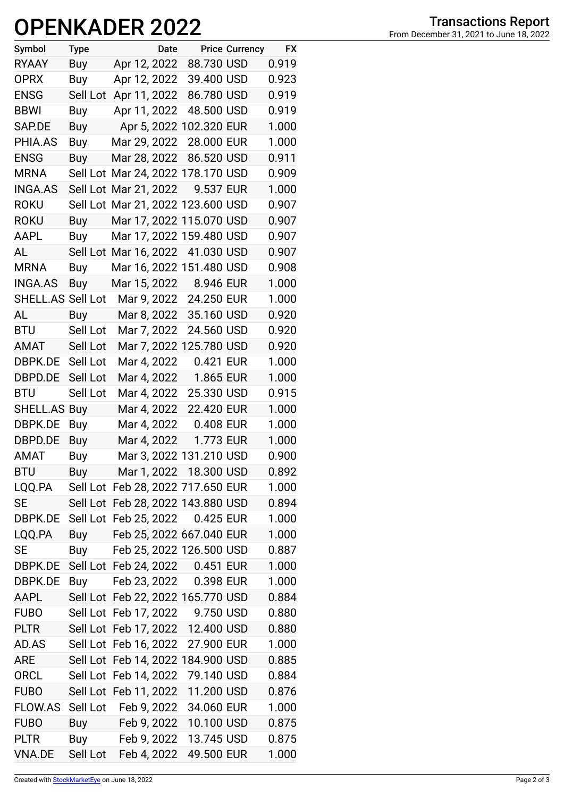## **OPENKADER 2022**

| Symbol              | <b>Type</b> | Date                              |            | <b>Price Currency</b> | <b>FX</b> |
|---------------------|-------------|-----------------------------------|------------|-----------------------|-----------|
| <b>RYAAY</b>        | Buy         | Apr 12, 2022                      | 88.730 USD |                       | 0.919     |
| <b>OPRX</b>         | Buy         | Apr 12, 2022                      | 39.400 USD |                       | 0.923     |
| <b>ENSG</b>         | Sell Lot    | Apr 11, 2022                      | 86.780 USD |                       | 0.919     |
| <b>BBWI</b>         | Buy         | Apr 11, 2022                      | 48.500 USD |                       | 0.919     |
| SAP.DE              | Buy         | Apr 5, 2022 102.320 EUR           |            |                       | 1.000     |
| PHIA.AS             | Buy         | Mar 29, 2022                      | 28.000 EUR |                       | 1.000     |
| <b>ENSG</b>         | Buy         | Mar 28, 2022                      | 86.520 USD |                       | 0.911     |
| <b>MRNA</b>         |             | Sell Lot Mar 24, 2022 178.170 USD |            |                       | 0.909     |
| <b>INGA.AS</b>      | Sell Lot    | Mar 21, 2022                      | 9.537 EUR  |                       | 1.000     |
| <b>ROKU</b>         |             | Sell Lot Mar 21, 2022 123.600 USD |            |                       | 0.907     |
| <b>ROKU</b>         | Buy         | Mar 17, 2022 115.070 USD          |            |                       | 0.907     |
| AAPL                | Buy         | Mar 17, 2022 159.480 USD          |            |                       | 0.907     |
| AL                  |             | Sell Lot Mar 16, 2022             | 41.030 USD |                       | 0.907     |
| <b>MRNA</b>         | Buy         | Mar 16, 2022 151.480 USD          |            |                       | 0.908     |
| <b>INGA.AS</b>      | Buy         | Mar 15, 2022                      | 8.946 EUR  |                       | 1.000     |
| SHELL.AS Sell Lot   |             | Mar 9, 2022 24.250 EUR            |            |                       | 1.000     |
| AL                  | Buy         | Mar 8, 2022                       | 35.160 USD |                       | 0.920     |
| <b>BTU</b>          | Sell Lot    | Mar 7, 2022                       | 24.560 USD |                       | 0.920     |
| AMAT                | Sell Lot    | Mar 7, 2022 125.780 USD           |            |                       | 0.920     |
| DBPK.DE             | Sell Lot    | Mar 4, 2022                       | 0.421 EUR  |                       | 1.000     |
| DBPD.DE             | Sell Lot    | Mar 4, 2022                       | 1.865 EUR  |                       | 1.000     |
| <b>BTU</b>          | Sell Lot    | Mar 4, 2022                       | 25.330 USD |                       | 0.915     |
| <b>SHELL.AS Buy</b> |             | Mar 4, 2022                       | 22.420 EUR |                       | 1.000     |
| DBPK.DE             | Buy         | Mar 4, 2022                       | 0.408 EUR  |                       | 1.000     |
| DBPD.DE             | Buy         | Mar 4, 2022                       | 1.773 EUR  |                       | 1.000     |
| <b>AMAT</b>         | Buy         | Mar 3, 2022 131.210 USD           |            |                       | 0.900     |
| <b>BTU</b>          | <b>Buy</b>  | Mar 1, 2022 18.300 USD            |            |                       | 0.892     |
| LQQ.PA              |             | Sell Lot Feb 28, 2022 717.650 EUR |            |                       | 1.000     |
| <b>SE</b>           |             | Sell Lot Feb 28, 2022 143.880 USD |            |                       | 0.894     |
| DBPK.DE             |             | Sell Lot Feb 25, 2022 0.425 EUR   |            |                       | 1.000     |
| LQQ.PA              | Buy         | Feb 25, 2022 667.040 EUR          |            |                       | 1.000     |
| <b>SE</b>           | Buy         | Feb 25, 2022 126.500 USD          |            |                       | 0.887     |
| DBPK.DE             |             | Sell Lot Feb 24, 2022 0.451 EUR   |            |                       | 1.000     |
| DBPK.DE             | Buy         | Feb 23, 2022 0.398 EUR            |            |                       | 1.000     |
| AAPL                |             | Sell Lot Feb 22, 2022 165.770 USD |            |                       | 0.884     |
| <b>FUBO</b>         |             | Sell Lot Feb 17, 2022 9.750 USD   |            |                       | 0.880     |
| <b>PLTR</b>         |             | Sell Lot Feb 17, 2022             | 12.400 USD |                       | 0.880     |
| AD.AS               |             | Sell Lot Feb 16, 2022             | 27.900 EUR |                       | 1.000     |
| ARE                 |             | Sell Lot Feb 14, 2022 184.900 USD |            |                       | 0.885     |
| <b>ORCL</b>         |             | Sell Lot Feb 14, 2022             | 79.140 USD |                       | 0.884     |
| <b>FUBO</b>         |             | Sell Lot Feb 11, 2022             | 11.200 USD |                       | 0.876     |
| FLOW.AS             | Sell Lot    | Feb 9, 2022                       | 34.060 EUR |                       | 1.000     |
| <b>FUBO</b>         | Buy         | Feb 9, 2022                       | 10.100 USD |                       | 0.875     |
| <b>PLTR</b>         | Buy         | Feb 9, 2022                       | 13.745 USD |                       | 0.875     |
| VNA.DE              |             | Sell Lot Feb 4, 2022              | 49.500 EUR |                       | 1.000     |